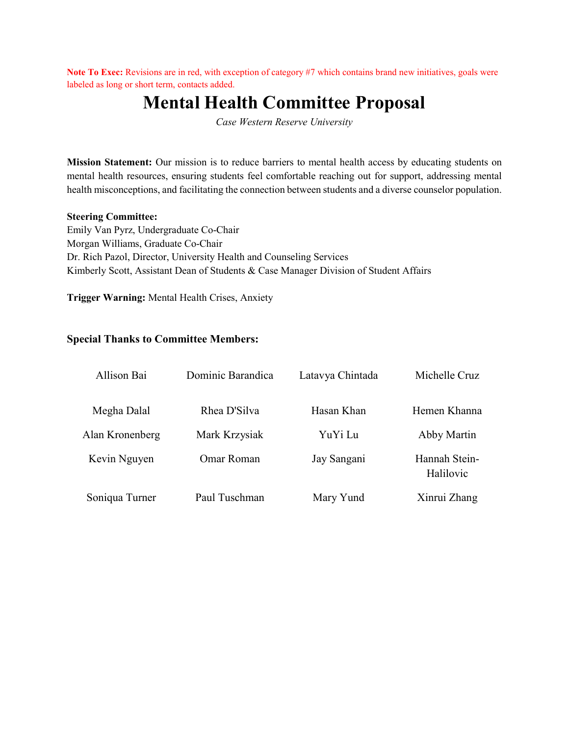Note To Exec: Revisions are in red, with exception of category #7 which contains brand new initiatives, goals were labeled as long or short term, contacts added.

# **Mental Health Committee Proposal**

*Case Western Reserve University*

**Mission Statement:** Our mission is to reduce barriers to mental health access by educating students on mental health resources, ensuring students feel comfortable reaching out for support, addressing mental health misconceptions, and facilitating the connection between students and a diverse counselor population.

#### **Steering Committee:**

Emily Van Pyrz, Undergraduate Co-Chair Morgan Williams, Graduate Co-Chair Dr. Rich Pazol, Director, University Health and Counseling Services Kimberly Scott, Assistant Dean of Students & Case Manager Division of Student Affairs

**Trigger Warning:** Mental Health Crises, Anxiety

#### **Special Thanks to Committee Members:**

| Allison Bai     | Dominic Barandica | Latavya Chintada | Michelle Cruz              |
|-----------------|-------------------|------------------|----------------------------|
| Megha Dalal     | Rhea D'Silva      | Hasan Khan       | Hemen Khanna               |
| Alan Kronenberg | Mark Krzysiak     | YuYi Lu          | Abby Martin                |
| Kevin Nguyen    | Omar Roman        | Jay Sangani      | Hannah Stein-<br>Halilovic |
| Soniqua Turner  | Paul Tuschman     | Mary Yund        | Xinrui Zhang               |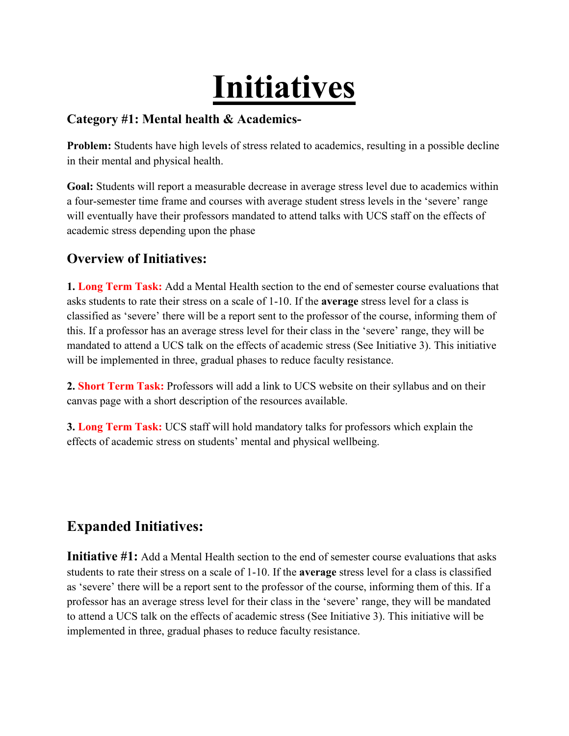# **Initiatives**

#### **Category #1: Mental health & Academics-**

**Problem:** Students have high levels of stress related to academics, resulting in a possible decline in their mental and physical health.

**Goal:** Students will report a measurable decrease in average stress level due to academics within a four-semester time frame and courses with average student stress levels in the 'severe' range will eventually have their professors mandated to attend talks with UCS staff on the effects of academic stress depending upon the phase

## **Overview of Initiatives:**

**1. Long Term Task:** Add a Mental Health section to the end of semester course evaluations that asks students to rate their stress on a scale of 1-10. If the **average** stress level for a class is classified as 'severe' there will be a report sent to the professor of the course, informing them of this. If a professor has an average stress level for their class in the 'severe' range, they will be mandated to attend a UCS talk on the effects of academic stress (See Initiative 3). This initiative will be implemented in three, gradual phases to reduce faculty resistance.

**2. Short Term Task:** Professors will add a link to UCS website on their syllabus and on their canvas page with a short description of the resources available.

**3. Long Term Task:** UCS staff will hold mandatory talks for professors which explain the effects of academic stress on students' mental and physical wellbeing.

# **Expanded Initiatives:**

**Initiative #1:** Add a Mental Health section to the end of semester course evaluations that asks students to rate their stress on a scale of 1-10. If the **average** stress level for a class is classified as 'severe' there will be a report sent to the professor of the course, informing them of this. If a professor has an average stress level for their class in the 'severe' range, they will be mandated to attend a UCS talk on the effects of academic stress (See Initiative 3). This initiative will be implemented in three, gradual phases to reduce faculty resistance.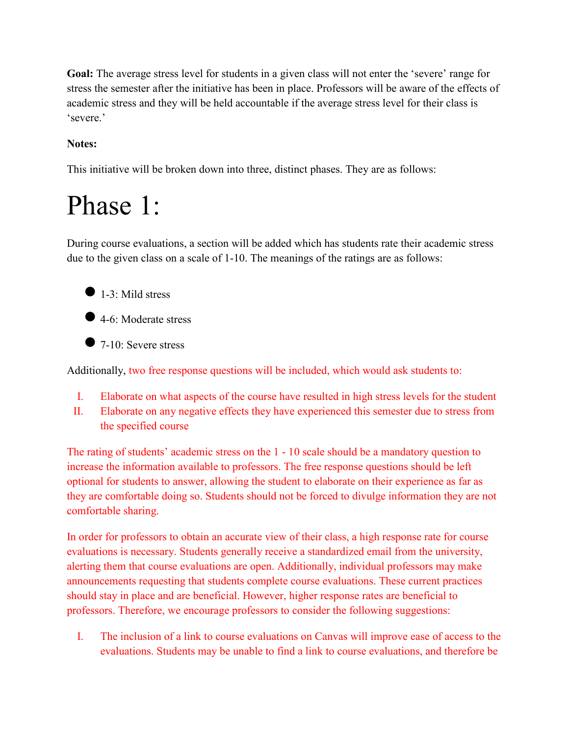**Goal:** The average stress level for students in a given class will not enter the 'severe' range for stress the semester after the initiative has been in place. Professors will be aware of the effects of academic stress and they will be held accountable if the average stress level for their class is 'severe.'

#### **Notes:**

This initiative will be broken down into three, distinct phases. They are as follows:

# Phase 1:

During course evaluations, a section will be added which has students rate their academic stress due to the given class on a scale of 1-10. The meanings of the ratings are as follows:



● 4-6: Moderate stress

 $\bullet$  7-10: Severe stress

Additionally, two free response questions will be included, which would ask students to:

- I. Elaborate on what aspects of the course have resulted in high stress levels for the student
- II. Elaborate on any negative effects they have experienced this semester due to stress from the specified course

The rating of students' academic stress on the 1 - 10 scale should be a mandatory question to increase the information available to professors. The free response questions should be left optional for students to answer, allowing the student to elaborate on their experience as far as they are comfortable doing so. Students should not be forced to divulge information they are not comfortable sharing.

In order for professors to obtain an accurate view of their class, a high response rate for course evaluations is necessary. Students generally receive a standardized email from the university, alerting them that course evaluations are open. Additionally, individual professors may make announcements requesting that students complete course evaluations. These current practices should stay in place and are beneficial. However, higher response rates are beneficial to professors. Therefore, we encourage professors to consider the following suggestions:

I. The inclusion of a link to course evaluations on Canvas will improve ease of access to the evaluations. Students may be unable to find a link to course evaluations, and therefore be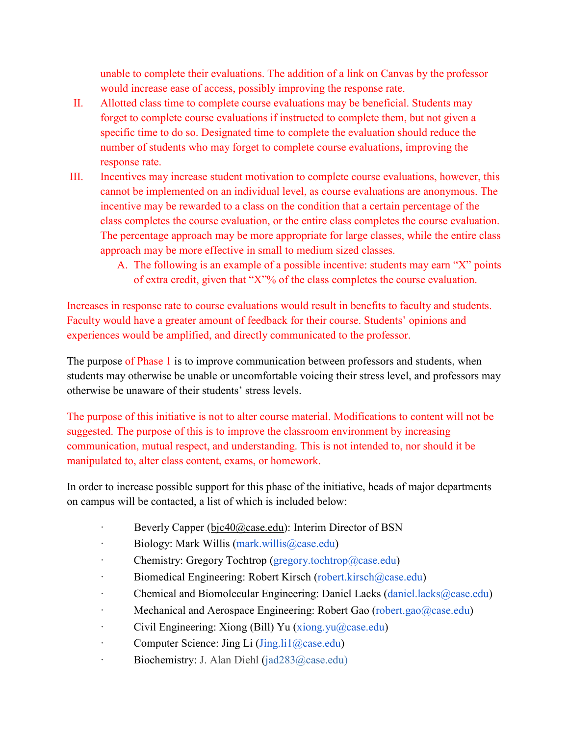unable to complete their evaluations. The addition of a link on Canvas by the professor would increase ease of access, possibly improving the response rate.

- II. Allotted class time to complete course evaluations may be beneficial. Students may forget to complete course evaluations if instructed to complete them, but not given a specific time to do so. Designated time to complete the evaluation should reduce the number of students who may forget to complete course evaluations, improving the response rate.
- III. Incentives may increase student motivation to complete course evaluations, however, this cannot be implemented on an individual level, as course evaluations are anonymous. The incentive may be rewarded to a class on the condition that a certain percentage of the class completes the course evaluation, or the entire class completes the course evaluation. The percentage approach may be more appropriate for large classes, while the entire class approach may be more effective in small to medium sized classes.
	- A. The following is an example of a possible incentive: students may earn "X" points of extra credit, given that "X"% of the class completes the course evaluation.

Increases in response rate to course evaluations would result in benefits to faculty and students. Faculty would have a greater amount of feedback for their course. Students' opinions and experiences would be amplified, and directly communicated to the professor.

The purpose of Phase 1 is to improve communication between professors and students, when students may otherwise be unable or uncomfortable voicing their stress level, and professors may otherwise be unaware of their students' stress levels.

The purpose of this initiative is not to alter course material. Modifications to content will not be suggested. The purpose of this is to improve the classroom environment by increasing communication, mutual respect, and understanding. This is not intended to, nor should it be manipulated to, alter class content, exams, or homework.

In order to increase possible support for this phase of the initiative, heads of major departments on campus will be contacted, a list of which is included below:

- Beverly Capper [\(bjc40@case.edu\)](mailto:bjc40@case.edu): Interim Director of BSN
- · Biology: Mark Willis (mark.willis@case.edu)
- Chemistry: Gregory Tochtrop (gregory.tochtrop@case.edu)
- · Biomedical Engineering: Robert Kirsch (robert.kirsch@case.edu)
- · Chemical and Biomolecular Engineering: Daniel Lacks (daniel.lacks@case.edu)
- · Mechanical and Aerospace Engineering: Robert Gao (robert.gao@case.edu)
- · Civil Engineering: Xiong (Bill) Yu (xiong.yu@case.edu)
- · Computer Science: Jing Li (Jing.li1@case.edu)
- · Biochemistry: J. Alan Diehl (jad283@case.edu)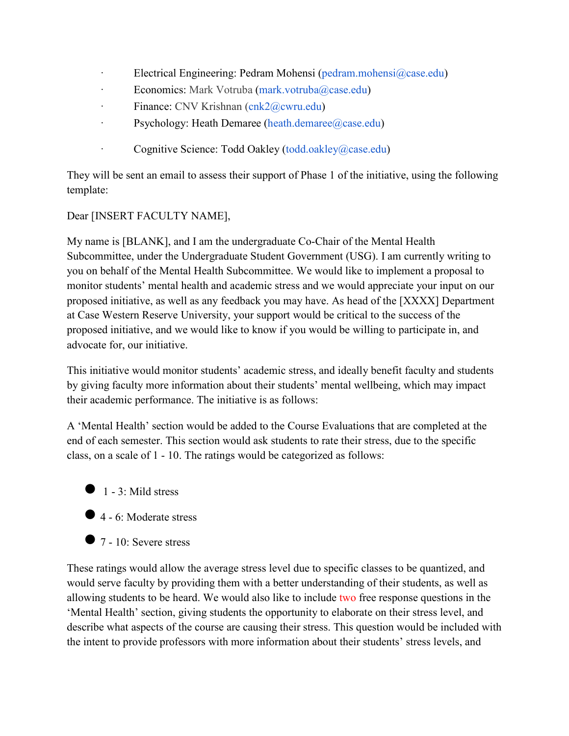- Electrical Engineering: Pedram Mohensi (pedram.mohensi $(\partial_{\mathcal{C}})$ case.edu)
- Economics: Mark Votruba (mark.votruba@case.edu)
- · Finance: CNV Krishnan (cnk2@cwru.edu)
- Psychology: Heath Demaree (heath.demaree@case.edu)
- · Cognitive Science: Todd Oakley (todd.oakley@case.edu)

They will be sent an email to assess their support of Phase 1 of the initiative, using the following template:

#### Dear [INSERT FACULTY NAME],

My name is [BLANK], and I am the undergraduate Co-Chair of the Mental Health Subcommittee, under the Undergraduate Student Government (USG). I am currently writing to you on behalf of the Mental Health Subcommittee. We would like to implement a proposal to monitor students' mental health and academic stress and we would appreciate your input on our proposed initiative, as well as any feedback you may have. As head of the [XXXX] Department at Case Western Reserve University, your support would be critical to the success of the proposed initiative, and we would like to know if you would be willing to participate in, and advocate for, our initiative.

This initiative would monitor students' academic stress, and ideally benefit faculty and students by giving faculty more information about their students' mental wellbeing, which may impact their academic performance. The initiative is as follows:

A 'Mental Health' section would be added to the Course Evaluations that are completed at the end of each semester. This section would ask students to rate their stress, due to the specific class, on a scale of 1 - 10. The ratings would be categorized as follows:

- $\bullet$  1 3: Mild stress
- $\bullet$  4 6: Moderate stress
- $\bullet$  7 10: Severe stress

These ratings would allow the average stress level due to specific classes to be quantized, and would serve faculty by providing them with a better understanding of their students, as well as allowing students to be heard. We would also like to include two free response questions in the 'Mental Health' section, giving students the opportunity to elaborate on their stress level, and describe what aspects of the course are causing their stress. This question would be included with the intent to provide professors with more information about their students' stress levels, and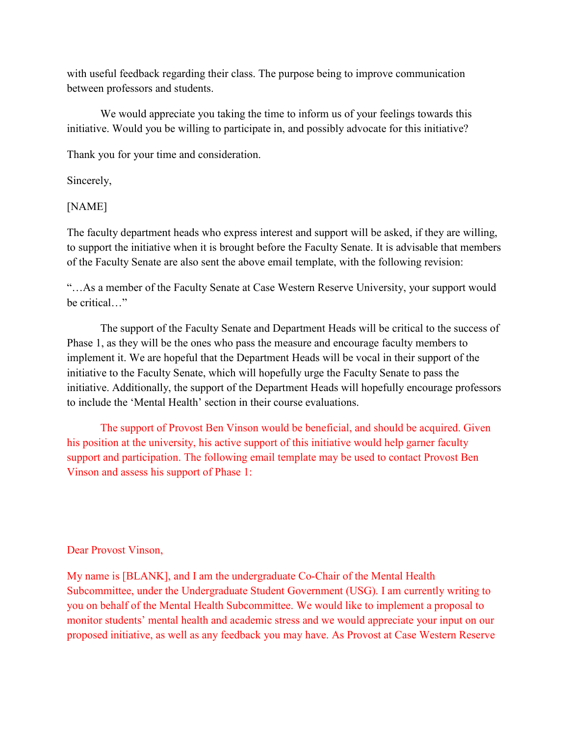with useful feedback regarding their class. The purpose being to improve communication between professors and students.

 We would appreciate you taking the time to inform us of your feelings towards this initiative. Would you be willing to participate in, and possibly advocate for this initiative?

Thank you for your time and consideration.

Sincerely,

[NAME]

The faculty department heads who express interest and support will be asked, if they are willing, to support the initiative when it is brought before the Faculty Senate. It is advisable that members of the Faculty Senate are also sent the above email template, with the following revision:

"…As a member of the Faculty Senate at Case Western Reserve University, your support would be critical…"

The support of the Faculty Senate and Department Heads will be critical to the success of Phase 1, as they will be the ones who pass the measure and encourage faculty members to implement it. We are hopeful that the Department Heads will be vocal in their support of the initiative to the Faculty Senate, which will hopefully urge the Faculty Senate to pass the initiative. Additionally, the support of the Department Heads will hopefully encourage professors to include the 'Mental Health' section in their course evaluations.

The support of Provost Ben Vinson would be beneficial, and should be acquired. Given his position at the university, his active support of this initiative would help garner faculty support and participation. The following email template may be used to contact Provost Ben Vinson and assess his support of Phase 1:

#### Dear Provost Vinson,

My name is [BLANK], and I am the undergraduate Co-Chair of the Mental Health Subcommittee, under the Undergraduate Student Government (USG). I am currently writing to you on behalf of the Mental Health Subcommittee. We would like to implement a proposal to monitor students' mental health and academic stress and we would appreciate your input on our proposed initiative, as well as any feedback you may have. As Provost at Case Western Reserve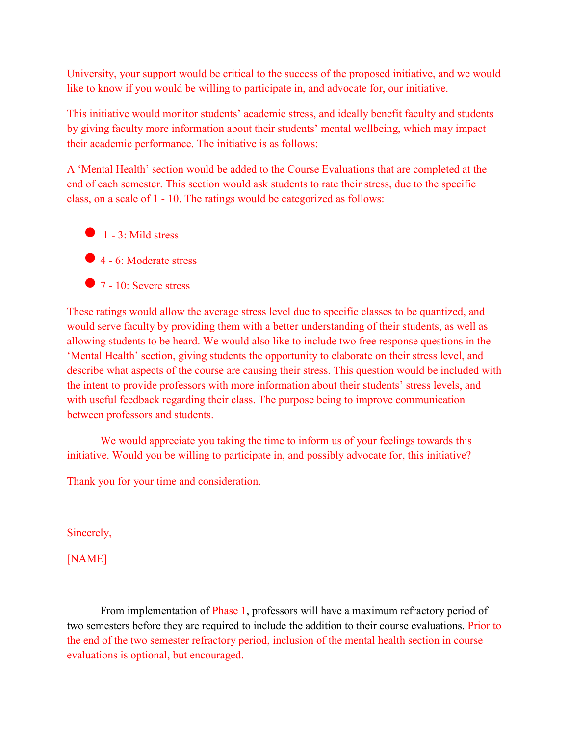University, your support would be critical to the success of the proposed initiative, and we would like to know if you would be willing to participate in, and advocate for, our initiative.

This initiative would monitor students' academic stress, and ideally benefit faculty and students by giving faculty more information about their students' mental wellbeing, which may impact their academic performance. The initiative is as follows:

A 'Mental Health' section would be added to the Course Evaluations that are completed at the end of each semester. This section would ask students to rate their stress, due to the specific class, on a scale of 1 - 10. The ratings would be categorized as follows:

- $\bullet$  1 3: Mild stress
- ●4 6: Moderate stress
- $\bullet$  7 10: Severe stress

These ratings would allow the average stress level due to specific classes to be quantized, and would serve faculty by providing them with a better understanding of their students, as well as allowing students to be heard. We would also like to include two free response questions in the 'Mental Health' section, giving students the opportunity to elaborate on their stress level, and describe what aspects of the course are causing their stress. This question would be included with the intent to provide professors with more information about their students' stress levels, and with useful feedback regarding their class. The purpose being to improve communication between professors and students.

We would appreciate you taking the time to inform us of your feelings towards this initiative. Would you be willing to participate in, and possibly advocate for, this initiative?

Thank you for your time and consideration.

Sincerely,

[NAME]

From implementation of Phase 1, professors will have a maximum refractory period of two semesters before they are required to include the addition to their course evaluations. Prior to the end of the two semester refractory period, inclusion of the mental health section in course evaluations is optional, but encouraged.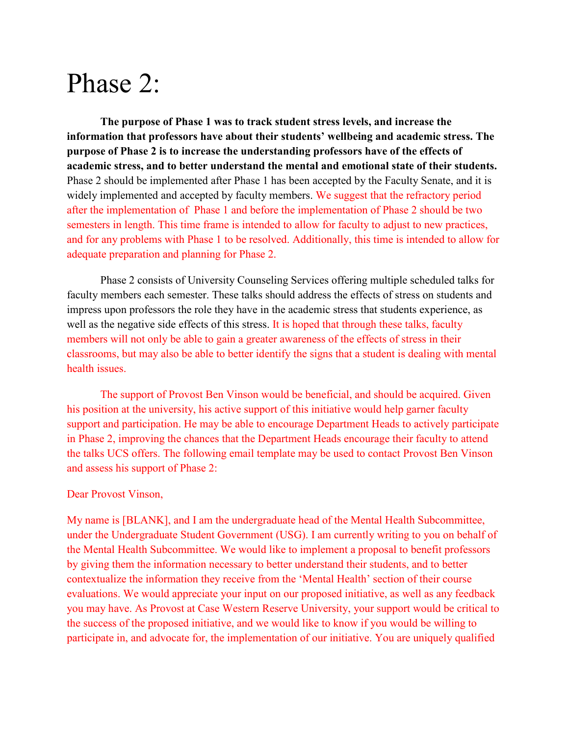# Phase 2:

**The purpose of Phase 1 was to track student stress levels, and increase the information that professors have about their students' wellbeing and academic stress. The purpose of Phase 2 is to increase the understanding professors have of the effects of academic stress, and to better understand the mental and emotional state of their students.** Phase 2 should be implemented after Phase 1 has been accepted by the Faculty Senate, and it is widely implemented and accepted by faculty members. We suggest that the refractory period after the implementation of Phase 1 and before the implementation of Phase 2 should be two semesters in length. This time frame is intended to allow for faculty to adjust to new practices, and for any problems with Phase 1 to be resolved. Additionally, this time is intended to allow for adequate preparation and planning for Phase 2.

Phase 2 consists of University Counseling Services offering multiple scheduled talks for faculty members each semester. These talks should address the effects of stress on students and impress upon professors the role they have in the academic stress that students experience, as well as the negative side effects of this stress. It is hoped that through these talks, faculty members will not only be able to gain a greater awareness of the effects of stress in their classrooms, but may also be able to better identify the signs that a student is dealing with mental health issues.

The support of Provost Ben Vinson would be beneficial, and should be acquired. Given his position at the university, his active support of this initiative would help garner faculty support and participation. He may be able to encourage Department Heads to actively participate in Phase 2, improving the chances that the Department Heads encourage their faculty to attend the talks UCS offers. The following email template may be used to contact Provost Ben Vinson and assess his support of Phase 2:

#### Dear Provost Vinson,

My name is [BLANK], and I am the undergraduate head of the Mental Health Subcommittee, under the Undergraduate Student Government (USG). I am currently writing to you on behalf of the Mental Health Subcommittee. We would like to implement a proposal to benefit professors by giving them the information necessary to better understand their students, and to better contextualize the information they receive from the 'Mental Health' section of their course evaluations. We would appreciate your input on our proposed initiative, as well as any feedback you may have. As Provost at Case Western Reserve University, your support would be critical to the success of the proposed initiative, and we would like to know if you would be willing to participate in, and advocate for, the implementation of our initiative. You are uniquely qualified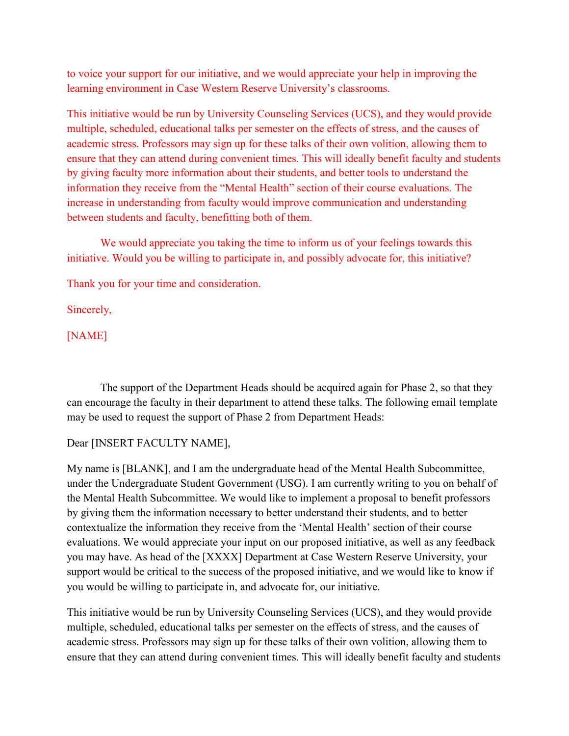to voice your support for our initiative, and we would appreciate your help in improving the learning environment in Case Western Reserve University's classrooms.

This initiative would be run by University Counseling Services (UCS), and they would provide multiple, scheduled, educational talks per semester on the effects of stress, and the causes of academic stress. Professors may sign up for these talks of their own volition, allowing them to ensure that they can attend during convenient times. This will ideally benefit faculty and students by giving faculty more information about their students, and better tools to understand the information they receive from the "Mental Health" section of their course evaluations. The increase in understanding from faculty would improve communication and understanding between students and faculty, benefitting both of them.

We would appreciate you taking the time to inform us of your feelings towards this initiative. Would you be willing to participate in, and possibly advocate for, this initiative?

Thank you for your time and consideration.

Sincerely,

[NAME]

The support of the Department Heads should be acquired again for Phase 2, so that they can encourage the faculty in their department to attend these talks. The following email template may be used to request the support of Phase 2 from Department Heads:

#### Dear [INSERT FACULTY NAME],

My name is [BLANK], and I am the undergraduate head of the Mental Health Subcommittee, under the Undergraduate Student Government (USG). I am currently writing to you on behalf of the Mental Health Subcommittee. We would like to implement a proposal to benefit professors by giving them the information necessary to better understand their students, and to better contextualize the information they receive from the 'Mental Health' section of their course evaluations. We would appreciate your input on our proposed initiative, as well as any feedback you may have. As head of the [XXXX] Department at Case Western Reserve University, your support would be critical to the success of the proposed initiative, and we would like to know if you would be willing to participate in, and advocate for, our initiative.

This initiative would be run by University Counseling Services (UCS), and they would provide multiple, scheduled, educational talks per semester on the effects of stress, and the causes of academic stress. Professors may sign up for these talks of their own volition, allowing them to ensure that they can attend during convenient times. This will ideally benefit faculty and students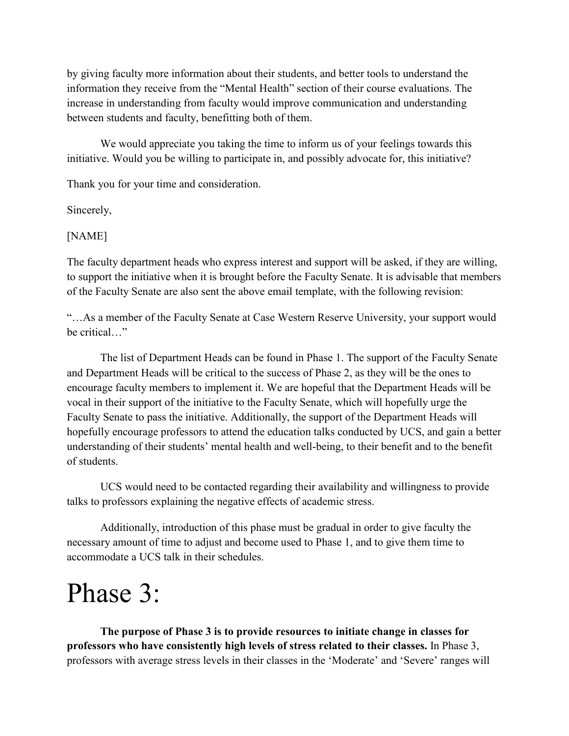by giving faculty more information about their students, and better tools to understand the information they receive from the "Mental Health" section of their course evaluations. The increase in understanding from faculty would improve communication and understanding between students and faculty, benefitting both of them.

 We would appreciate you taking the time to inform us of your feelings towards this initiative. Would you be willing to participate in, and possibly advocate for, this initiative?

Thank you for your time and consideration.

Sincerely,

#### [NAME]

The faculty department heads who express interest and support will be asked, if they are willing, to support the initiative when it is brought before the Faculty Senate. It is advisable that members of the Faculty Senate are also sent the above email template, with the following revision:

"…As a member of the Faculty Senate at Case Western Reserve University, your support would be critical…"

The list of Department Heads can be found in Phase 1. The support of the Faculty Senate and Department Heads will be critical to the success of Phase 2, as they will be the ones to encourage faculty members to implement it. We are hopeful that the Department Heads will be vocal in their support of the initiative to the Faculty Senate, which will hopefully urge the Faculty Senate to pass the initiative. Additionally, the support of the Department Heads will hopefully encourage professors to attend the education talks conducted by UCS, and gain a better understanding of their students' mental health and well-being, to their benefit and to the benefit of students.

UCS would need to be contacted regarding their availability and willingness to provide talks to professors explaining the negative effects of academic stress.

Additionally, introduction of this phase must be gradual in order to give faculty the necessary amount of time to adjust and become used to Phase 1, and to give them time to accommodate a UCS talk in their schedules.

# Phase 3:

**The purpose of Phase 3 is to provide resources to initiate change in classes for professors who have consistently high levels of stress related to their classes.** In Phase 3, professors with average stress levels in their classes in the 'Moderate' and 'Severe' ranges will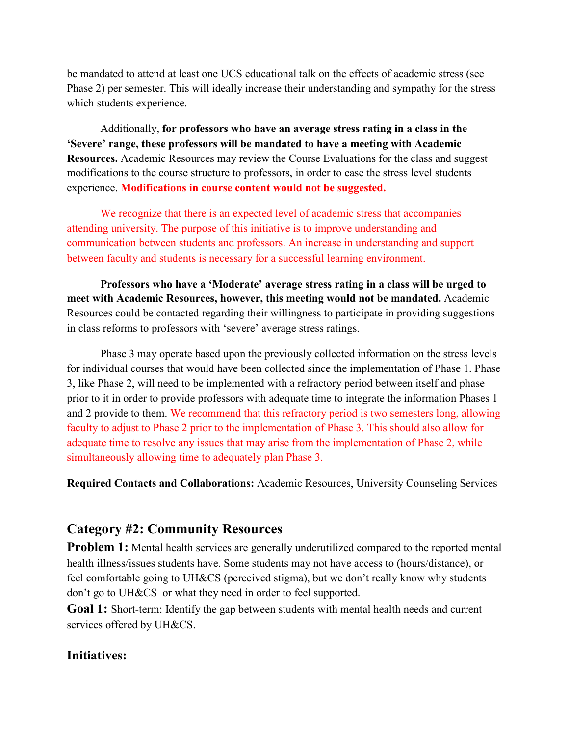be mandated to attend at least one UCS educational talk on the effects of academic stress (see Phase 2) per semester. This will ideally increase their understanding and sympathy for the stress which students experience.

Additionally, **for professors who have an average stress rating in a class in the 'Severe' range, these professors will be mandated to have a meeting with Academic Resources.** Academic Resources may review the Course Evaluations for the class and suggest modifications to the course structure to professors, in order to ease the stress level students experience. **Modifications in course content would not be suggested.** 

We recognize that there is an expected level of academic stress that accompanies attending university. The purpose of this initiative is to improve understanding and communication between students and professors. An increase in understanding and support between faculty and students is necessary for a successful learning environment.

 **Professors who have a 'Moderate' average stress rating in a class will be urged to meet with Academic Resources, however, this meeting would not be mandated.** Academic Resources could be contacted regarding their willingness to participate in providing suggestions in class reforms to professors with 'severe' average stress ratings.

 Phase 3 may operate based upon the previously collected information on the stress levels for individual courses that would have been collected since the implementation of Phase 1. Phase 3, like Phase 2, will need to be implemented with a refractory period between itself and phase prior to it in order to provide professors with adequate time to integrate the information Phases 1 and 2 provide to them. We recommend that this refractory period is two semesters long, allowing faculty to adjust to Phase 2 prior to the implementation of Phase 3. This should also allow for adequate time to resolve any issues that may arise from the implementation of Phase 2, while simultaneously allowing time to adequately plan Phase 3.

**Required Contacts and Collaborations:** Academic Resources, University Counseling Services

#### **Category #2: Community Resources**

**Problem 1:** Mental health services are generally underutilized compared to the reported mental health illness/issues students have. Some students may not have access to (hours/distance), or feel comfortable going to UH&CS (perceived stigma), but we don't really know why students don't go to UH&CS or what they need in order to feel supported.

**Goal 1:** Short-term: Identify the gap between students with mental health needs and current services offered by UH&CS.

#### **Initiatives:**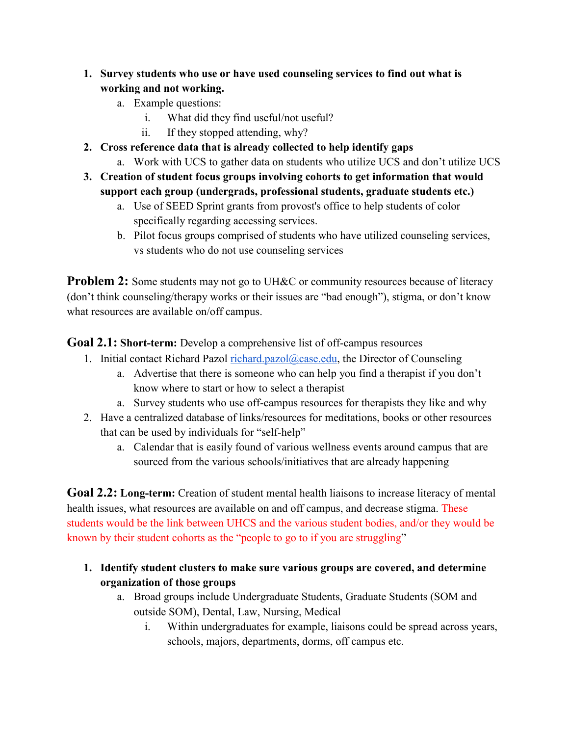- **1. Survey students who use or have used counseling services to find out what is working and not working.**
	- a. Example questions:
		- i. What did they find useful/not useful?
		- ii. If they stopped attending, why?
- **2. Cross reference data that is already collected to help identify gaps**
	- a. Work with UCS to gather data on students who utilize UCS and don't utilize UCS
- **3. Creation of student focus groups involving cohorts to get information that would support each group (undergrads, professional students, graduate students etc.)**
	- a. Use of SEED Sprint grants from provost's office to help students of color specifically regarding accessing services.
	- b. Pilot focus groups comprised of students who have utilized counseling services, vs students who do not use counseling services

**Problem 2:** Some students may not go to UH&C or community resources because of literacy (don't think counseling/therapy works or their issues are "bad enough"), stigma, or don't know what resources are available on/off campus.

**Goal 2.1: Short-term:** Develop a comprehensive list of off-campus resources

- 1. Initial contact Richard Pazol [richard.pazol@case.edu,](mailto:richard.pazol@case.edu) the Director of Counseling
	- a. Advertise that there is someone who can help you find a therapist if you don't know where to start or how to select a therapist
	- a. Survey students who use off-campus resources for therapists they like and why
- 2. Have a centralized database of links/resources for meditations, books or other resources that can be used by individuals for "self-help"
	- a. Calendar that is easily found of various wellness events around campus that are sourced from the various schools/initiatives that are already happening

**Goal 2.2: Long-term:** Creation of student mental health liaisons to increase literacy of mental health issues, what resources are available on and off campus, and decrease stigma. These students would be the link between UHCS and the various student bodies, and/or they would be known by their student cohorts as the "people to go to if you are struggling"

- **1. Identify student clusters to make sure various groups are covered, and determine organization of those groups**
	- a. Broad groups include Undergraduate Students, Graduate Students (SOM and outside SOM), Dental, Law, Nursing, Medical
		- i. Within undergraduates for example, liaisons could be spread across years, schools, majors, departments, dorms, off campus etc.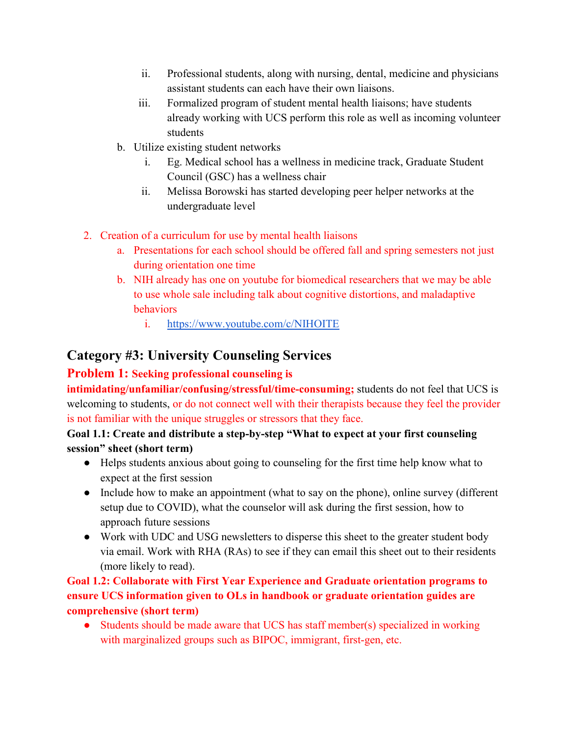- ii. Professional students, along with nursing, dental, medicine and physicians assistant students can each have their own liaisons.
- iii. Formalized program of student mental health liaisons; have students already working with UCS perform this role as well as incoming volunteer students
- b. Utilize existing student networks
	- i. Eg. Medical school has a wellness in medicine track, Graduate Student Council (GSC) has a wellness chair
	- ii. Melissa Borowski has started developing peer helper networks at the undergraduate level
- 2. Creation of a curriculum for use by mental health liaisons
	- a. Presentations for each school should be offered fall and spring semesters not just during orientation one time
	- b. NIH already has one on youtube for biomedical researchers that we may be able to use whole sale including talk about cognitive distortions, and maladaptive behaviors
		- i. <https://www.youtube.com/c/NIHOITE>

#### **Category #3: University Counseling Services**

#### **Problem 1: Seeking professional counseling is**

**intimidating/unfamiliar/confusing/stressful/time-consuming;** students do not feel that UCS is welcoming to students, or do not connect well with their therapists because they feel the provider is not familiar with the unique struggles or stressors that they face.

#### **Goal 1.1: Create and distribute a step-by-step "What to expect at your first counseling session" sheet (short term)**

- Helps students anxious about going to counseling for the first time help know what to expect at the first session
- Include how to make an appointment (what to say on the phone), online survey (different setup due to COVID), what the counselor will ask during the first session, how to approach future sessions
- Work with UDC and USG newsletters to disperse this sheet to the greater student body via email. Work with RHA (RAs) to see if they can email this sheet out to their residents (more likely to read).

#### **Goal 1.2: Collaborate with First Year Experience and Graduate orientation programs to ensure UCS information given to OLs in handbook or graduate orientation guides are comprehensive (short term)**

• Students should be made aware that UCS has staff member(s) specialized in working with marginalized groups such as BIPOC, immigrant, first-gen, etc.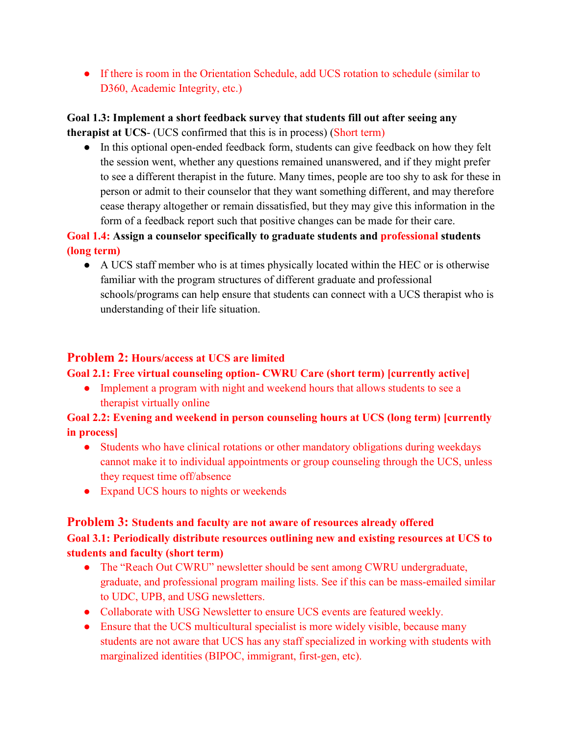• If there is room in the Orientation Schedule, add UCS rotation to schedule (similar to D360, Academic Integrity, etc.)

#### **Goal 1.3: Implement a short feedback survey that students fill out after seeing any therapist at UCS**- (UCS confirmed that this is in process) (Short term)

● In this optional open-ended feedback form, students can give feedback on how they felt the session went, whether any questions remained unanswered, and if they might prefer to see a different therapist in the future. Many times, people are too shy to ask for these in person or admit to their counselor that they want something different, and may therefore cease therapy altogether or remain dissatisfied, but they may give this information in the form of a feedback report such that positive changes can be made for their care.

#### **Goal 1.4: Assign a counselor specifically to graduate students and professional students (long term)**

● A UCS staff member who is at times physically located within the HEC or is otherwise familiar with the program structures of different graduate and professional schools/programs can help ensure that students can connect with a UCS therapist who is understanding of their life situation.

#### **Problem 2: Hours/access at UCS are limited**

#### **Goal 2.1: Free virtual counseling option- CWRU Care (short term) [currently active]**

• Implement a program with night and weekend hours that allows students to see a therapist virtually online

#### **Goal 2.2: Evening and weekend in person counseling hours at UCS (long term) [currently in process]**

- Students who have clinical rotations or other mandatory obligations during weekdays cannot make it to individual appointments or group counseling through the UCS, unless they request time off/absence
- Expand UCS hours to nights or weekends

#### **Problem 3: Students and faculty are not aware of resources already offered Goal 3.1: Periodically distribute resources outlining new and existing resources at UCS to students and faculty (short term)**

- The "Reach Out CWRU" newsletter should be sent among CWRU undergraduate, graduate, and professional program mailing lists. See if this can be mass-emailed similar to UDC, UPB, and USG newsletters.
- Collaborate with USG Newsletter to ensure UCS events are featured weekly.
- Ensure that the UCS multicultural specialist is more widely visible, because many students are not aware that UCS has any staff specialized in working with students with marginalized identities (BIPOC, immigrant, first-gen, etc).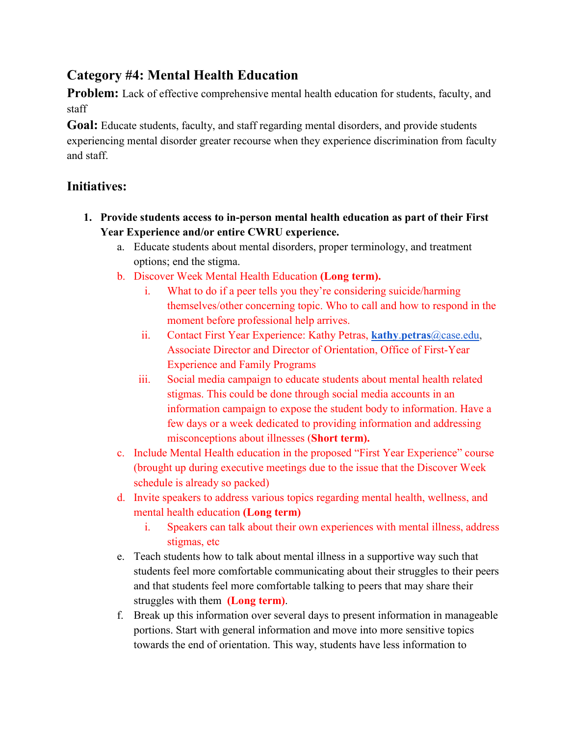# **Category #4: Mental Health Education**

**Problem:** Lack of effective comprehensive mental health education for students, faculty, and staff

**Goal:** Educate students, faculty, and staff regarding mental disorders, and provide students experiencing mental disorder greater recourse when they experience discrimination from faculty and staff.

## **Initiatives:**

- **1. Provide students access to in-person mental health education as part of their First Year Experience and/or entire CWRU experience.**
	- a. Educate students about mental disorders, proper terminology, and treatment options; end the stigma.
	- b. Discover Week Mental Health Education **(Long term).**
		- i. What to do if a peer tells you they're considering suicide/harming themselves/other concerning topic. Who to call and how to respond in the moment before professional help arrives.
		- ii. Contact First Year Experience: Kathy Petras, **[kathy](mailto:kathy.petras@case.edu)**[.](mailto:kathy.petras@case.edu)**[petras](mailto:kathy.petras@case.edu)**[@case.edu,](mailto:kathy.petras@case.edu) Associate Director and Director of Orientation, Office of First-Year Experience and Family Programs
		- iii. Social media campaign to educate students about mental health related stigmas. This could be done through social media accounts in an information campaign to expose the student body to information. Have a few days or a week dedicated to providing information and addressing misconceptions about illnesses (**Short term).**
	- c. Include Mental Health education in the proposed "First Year Experience" course (brought up during executive meetings due to the issue that the Discover Week schedule is already so packed)
	- d. Invite speakers to address various topics regarding mental health, wellness, and mental health education **(Long term)**
		- i. Speakers can talk about their own experiences with mental illness, address stigmas, etc
	- e. Teach students how to talk about mental illness in a supportive way such that students feel more comfortable communicating about their struggles to their peers and that students feel more comfortable talking to peers that may share their struggles with them **(Long term)**.
	- f. Break up this information over several days to present information in manageable portions. Start with general information and move into more sensitive topics towards the end of orientation. This way, students have less information to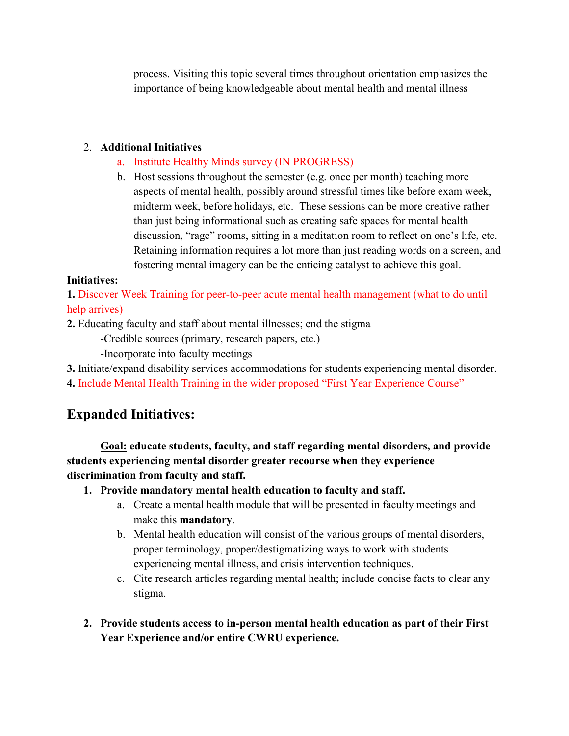process. Visiting this topic several times throughout orientation emphasizes the importance of being knowledgeable about mental health and mental illness

#### 2. **Additional Initiatives**

- a. Institute Healthy Minds survey (IN PROGRESS)
- b. Host sessions throughout the semester (e.g. once per month) teaching more aspects of mental health, possibly around stressful times like before exam week, midterm week, before holidays, etc. These sessions can be more creative rather than just being informational such as creating safe spaces for mental health discussion, "rage" rooms, sitting in a meditation room to reflect on one's life, etc. Retaining information requires a lot more than just reading words on a screen, and fostering mental imagery can be the enticing catalyst to achieve this goal.

#### **Initiatives:**

**1.** Discover Week Training for peer-to-peer acute mental health management (what to do until help arrives)

**2.** Educating faculty and staff about mental illnesses; end the stigma

-Credible sources (primary, research papers, etc.)

-Incorporate into faculty meetings

**3.** Initiate/expand disability services accommodations for students experiencing mental disorder.

**4.** Include Mental Health Training in the wider proposed "First Year Experience Course"

# **Expanded Initiatives:**

**Goal: educate students, faculty, and staff regarding mental disorders, and provide students experiencing mental disorder greater recourse when they experience discrimination from faculty and staff.**

**1. Provide mandatory mental health education to faculty and staff.**

- a. Create a mental health module that will be presented in faculty meetings and make this **mandatory**.
- b. Mental health education will consist of the various groups of mental disorders, proper terminology, proper/destigmatizing ways to work with students experiencing mental illness, and crisis intervention techniques.
- c. Cite research articles regarding mental health; include concise facts to clear any stigma.
- **2. Provide students access to in-person mental health education as part of their First Year Experience and/or entire CWRU experience.**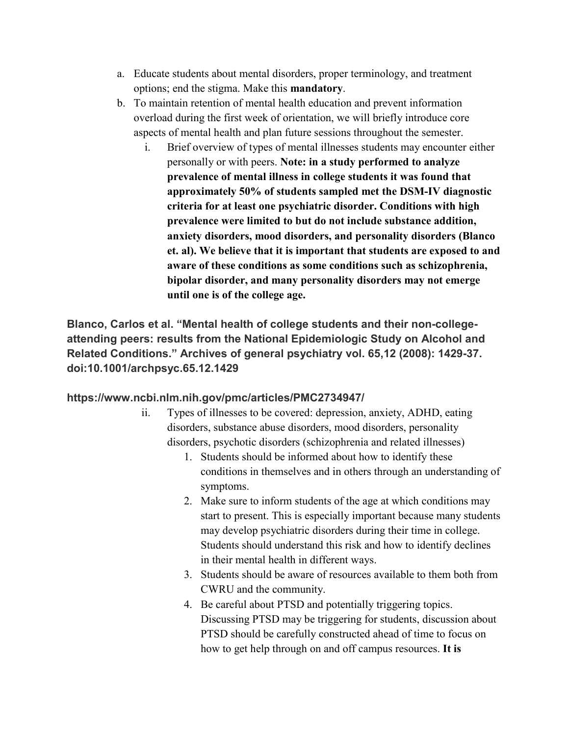- a. Educate students about mental disorders, proper terminology, and treatment options; end the stigma. Make this **mandatory**.
- b. To maintain retention of mental health education and prevent information overload during the first week of orientation, we will briefly introduce core aspects of mental health and plan future sessions throughout the semester.
	- i. Brief overview of types of mental illnesses students may encounter either personally or with peers. **Note: in a study performed to analyze prevalence of mental illness in college students it was found that approximately 50% of students sampled met the DSM-IV diagnostic criteria for at least one psychiatric disorder. Conditions with high prevalence were limited to but do not include substance addition, anxiety disorders, mood disorders, and personality disorders (Blanco et. al). We believe that it is important that students are exposed to and aware of these conditions as some conditions such as schizophrenia, bipolar disorder, and many personality disorders may not emerge until one is of the college age.**

**Blanco, Carlos et al. "Mental health of college students and their non-collegeattending peers: results from the National Epidemiologic Study on Alcohol and Related Conditions." Archives of general psychiatry vol. 65,12 (2008): 1429-37. doi:10.1001/archpsyc.65.12.1429**

#### **https://www.ncbi.nlm.nih.gov/pmc/articles/PMC2734947/**

- ii. Types of illnesses to be covered: depression, anxiety, ADHD, eating disorders, substance abuse disorders, mood disorders, personality disorders, psychotic disorders (schizophrenia and related illnesses)
	- 1. Students should be informed about how to identify these conditions in themselves and in others through an understanding of symptoms.
	- 2. Make sure to inform students of the age at which conditions may start to present. This is especially important because many students may develop psychiatric disorders during their time in college. Students should understand this risk and how to identify declines in their mental health in different ways.
	- 3. Students should be aware of resources available to them both from CWRU and the community.
	- 4. Be careful about PTSD and potentially triggering topics. Discussing PTSD may be triggering for students, discussion about PTSD should be carefully constructed ahead of time to focus on how to get help through on and off campus resources. **It is**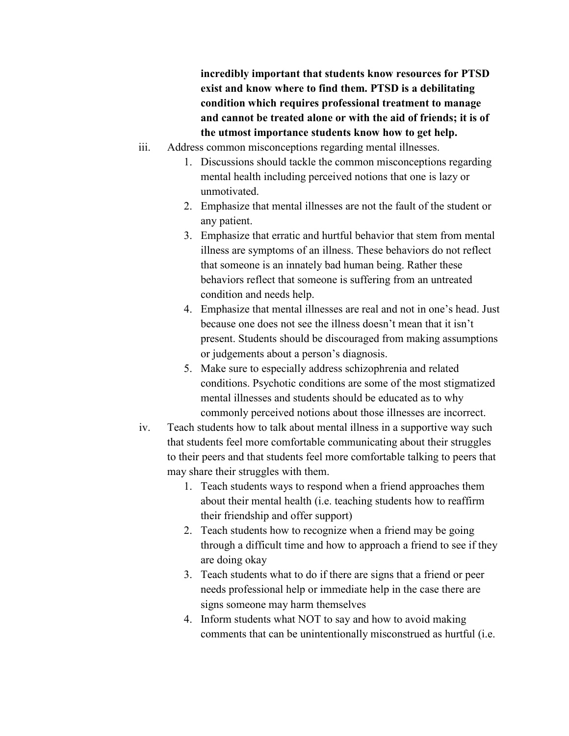**incredibly important that students know resources for PTSD exist and know where to find them. PTSD is a debilitating condition which requires professional treatment to manage and cannot be treated alone or with the aid of friends; it is of the utmost importance students know how to get help.**

- iii. Address common misconceptions regarding mental illnesses.
	- 1. Discussions should tackle the common misconceptions regarding mental health including perceived notions that one is lazy or unmotivated.
	- 2. Emphasize that mental illnesses are not the fault of the student or any patient.
	- 3. Emphasize that erratic and hurtful behavior that stem from mental illness are symptoms of an illness. These behaviors do not reflect that someone is an innately bad human being. Rather these behaviors reflect that someone is suffering from an untreated condition and needs help.
	- 4. Emphasize that mental illnesses are real and not in one's head. Just because one does not see the illness doesn't mean that it isn't present. Students should be discouraged from making assumptions or judgements about a person's diagnosis.
	- 5. Make sure to especially address schizophrenia and related conditions. Psychotic conditions are some of the most stigmatized mental illnesses and students should be educated as to why commonly perceived notions about those illnesses are incorrect.
- iv. Teach students how to talk about mental illness in a supportive way such that students feel more comfortable communicating about their struggles to their peers and that students feel more comfortable talking to peers that may share their struggles with them.
	- 1. Teach students ways to respond when a friend approaches them about their mental health (i.e. teaching students how to reaffirm their friendship and offer support)
	- 2. Teach students how to recognize when a friend may be going through a difficult time and how to approach a friend to see if they are doing okay
	- 3. Teach students what to do if there are signs that a friend or peer needs professional help or immediate help in the case there are signs someone may harm themselves
	- 4. Inform students what NOT to say and how to avoid making comments that can be unintentionally misconstrued as hurtful (i.e.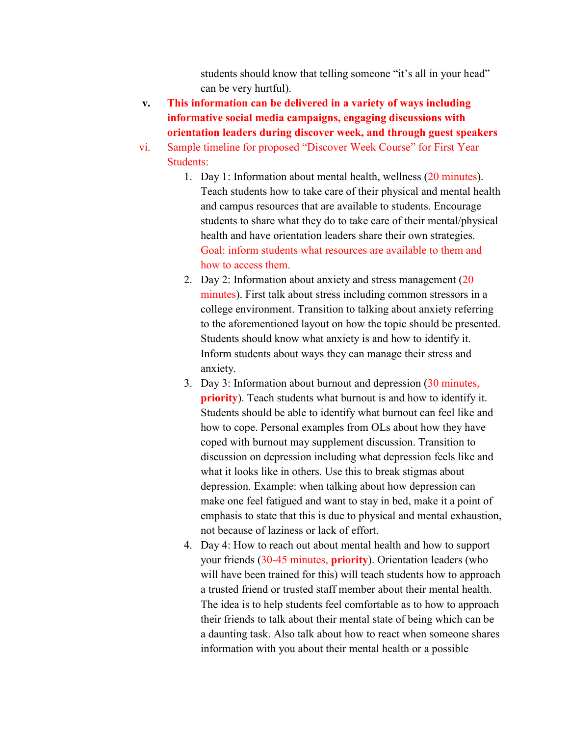students should know that telling someone "it's all in your head" can be very hurtful).

- **v. This information can be delivered in a variety of ways including informative social media campaigns, engaging discussions with orientation leaders during discover week, and through guest speakers**
- vi. Sample timeline for proposed "Discover Week Course" for First Year Students:
	- 1. Day 1: Information about mental health, wellness (20 minutes). Teach students how to take care of their physical and mental health and campus resources that are available to students. Encourage students to share what they do to take care of their mental/physical health and have orientation leaders share their own strategies. Goal: inform students what resources are available to them and how to access them.
	- 2. Day 2: Information about anxiety and stress management  $(20)$ minutes). First talk about stress including common stressors in a college environment. Transition to talking about anxiety referring to the aforementioned layout on how the topic should be presented. Students should know what anxiety is and how to identify it. Inform students about ways they can manage their stress and anxiety.
	- 3. Day 3: Information about burnout and depression (30 minutes, **priority**). Teach students what burnout is and how to identify it. Students should be able to identify what burnout can feel like and how to cope. Personal examples from OLs about how they have coped with burnout may supplement discussion. Transition to discussion on depression including what depression feels like and what it looks like in others. Use this to break stigmas about depression. Example: when talking about how depression can make one feel fatigued and want to stay in bed, make it a point of emphasis to state that this is due to physical and mental exhaustion, not because of laziness or lack of effort.
	- 4. Day 4: How to reach out about mental health and how to support your friends (30-45 minutes, **priority**). Orientation leaders (who will have been trained for this) will teach students how to approach a trusted friend or trusted staff member about their mental health. The idea is to help students feel comfortable as to how to approach their friends to talk about their mental state of being which can be a daunting task. Also talk about how to react when someone shares information with you about their mental health or a possible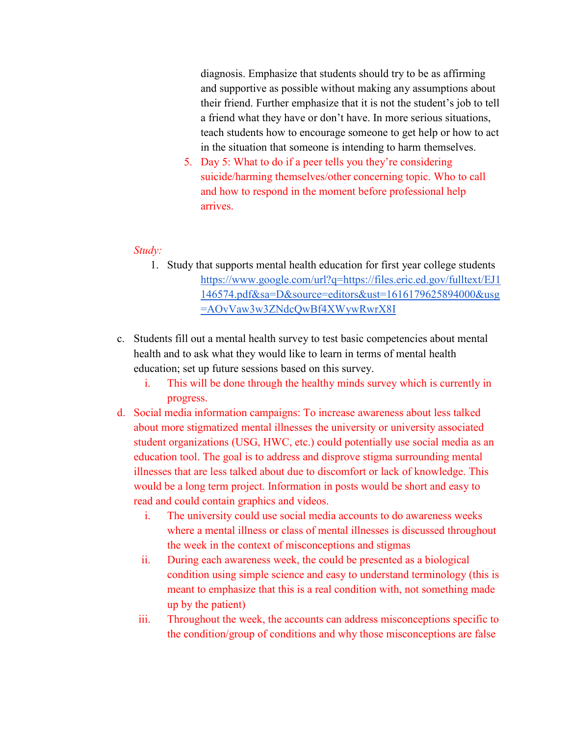diagnosis. Emphasize that students should try to be as affirming and supportive as possible without making any assumptions about their friend. Further emphasize that it is not the student's job to tell a friend what they have or don't have. In more serious situations, teach students how to encourage someone to get help or how to act in the situation that someone is intending to harm themselves.

5. Day 5: What to do if a peer tells you they're considering suicide/harming themselves/other concerning topic. Who to call and how to respond in the moment before professional help arrives.

#### *Study:*

- 1. Study that supports mental health education for first year college students [https://www.google.com/url?q=https://files.eric.ed.gov/fulltext/EJ1](https://www.google.com/url?q=https://files.eric.ed.gov/fulltext/EJ1146574.pdf&sa=D&source=editors&ust=1616179625894000&usg=AOvVaw3w3ZNdcQwBf4XWywRwrX8I) [146574.pdf&sa=D&source=editors&ust=1616179625894000&usg](https://www.google.com/url?q=https://files.eric.ed.gov/fulltext/EJ1146574.pdf&sa=D&source=editors&ust=1616179625894000&usg=AOvVaw3w3ZNdcQwBf4XWywRwrX8I) [=AOvVaw3w3ZNdcQwBf4XWywRwrX8I](https://www.google.com/url?q=https://files.eric.ed.gov/fulltext/EJ1146574.pdf&sa=D&source=editors&ust=1616179625894000&usg=AOvVaw3w3ZNdcQwBf4XWywRwrX8I)
- c. Students fill out a mental health survey to test basic competencies about mental health and to ask what they would like to learn in terms of mental health education; set up future sessions based on this survey.
	- i. This will be done through the healthy minds survey which is currently in progress.
- d. Social media information campaigns: To increase awareness about less talked about more stigmatized mental illnesses the university or university associated student organizations (USG, HWC, etc.) could potentially use social media as an education tool. The goal is to address and disprove stigma surrounding mental illnesses that are less talked about due to discomfort or lack of knowledge. This would be a long term project. Information in posts would be short and easy to read and could contain graphics and videos.
	- i. The university could use social media accounts to do awareness weeks where a mental illness or class of mental illnesses is discussed throughout the week in the context of misconceptions and stigmas
	- ii. During each awareness week, the could be presented as a biological condition using simple science and easy to understand terminology (this is meant to emphasize that this is a real condition with, not something made up by the patient)
	- iii. Throughout the week, the accounts can address misconceptions specific to the condition/group of conditions and why those misconceptions are false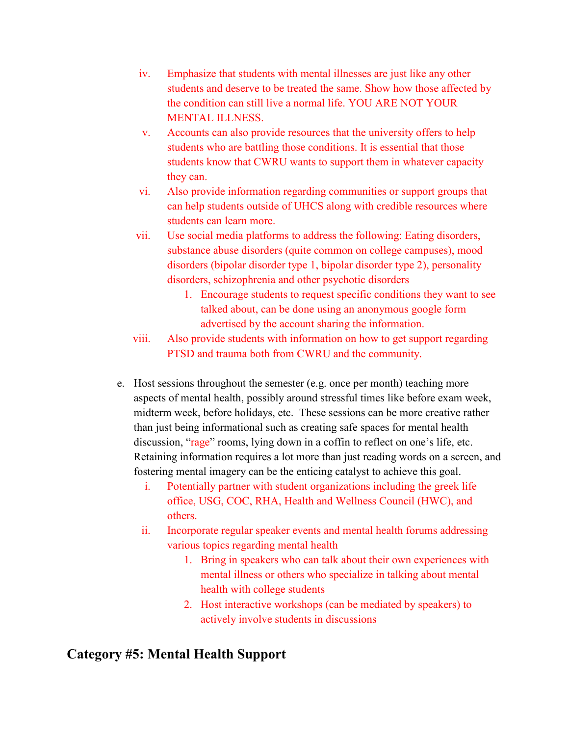- iv. Emphasize that students with mental illnesses are just like any other students and deserve to be treated the same. Show how those affected by the condition can still live a normal life. YOU ARE NOT YOUR MENTAL ILLNESS.
- v. Accounts can also provide resources that the university offers to help students who are battling those conditions. It is essential that those students know that CWRU wants to support them in whatever capacity they can.
- vi. Also provide information regarding communities or support groups that can help students outside of UHCS along with credible resources where students can learn more.
- vii. Use social media platforms to address the following: Eating disorders, substance abuse disorders (quite common on college campuses), mood disorders (bipolar disorder type 1, bipolar disorder type 2), personality disorders, schizophrenia and other psychotic disorders
	- 1. Encourage students to request specific conditions they want to see talked about, can be done using an anonymous google form advertised by the account sharing the information.
- viii. Also provide students with information on how to get support regarding PTSD and trauma both from CWRU and the community.
- e. Host sessions throughout the semester (e.g. once per month) teaching more aspects of mental health, possibly around stressful times like before exam week, midterm week, before holidays, etc. These sessions can be more creative rather than just being informational such as creating safe spaces for mental health discussion, "rage" rooms, lying down in a coffin to reflect on one's life, etc. Retaining information requires a lot more than just reading words on a screen, and fostering mental imagery can be the enticing catalyst to achieve this goal.
	- i. Potentially partner with student organizations including the greek life office, USG, COC, RHA, Health and Wellness Council (HWC), and others.
	- ii. Incorporate regular speaker events and mental health forums addressing various topics regarding mental health
		- 1. Bring in speakers who can talk about their own experiences with mental illness or others who specialize in talking about mental health with college students
		- 2. Host interactive workshops (can be mediated by speakers) to actively involve students in discussions

### **Category #5: Mental Health Support**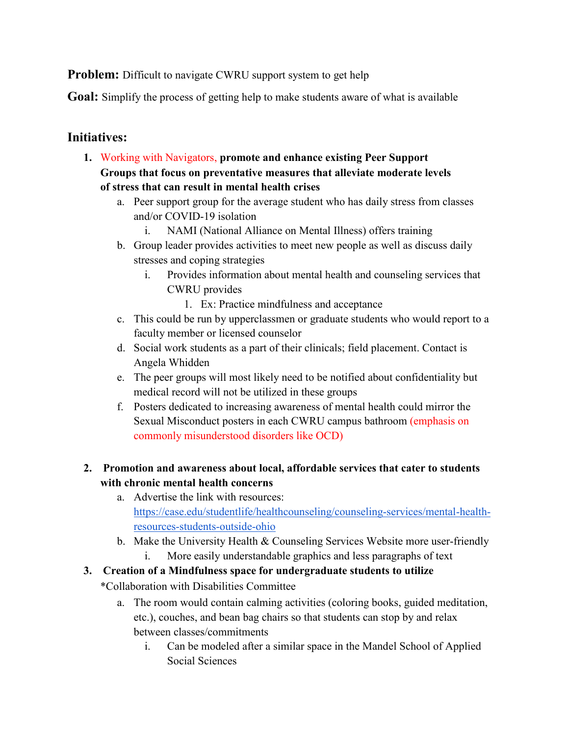**Problem:** Difficult to navigate CWRU support system to get help

**Goal:** Simplify the process of getting help to make students aware of what is available

#### **Initiatives:**

- **1.** Working with Navigators, **promote and enhance existing Peer Support Groups that focus on preventative measures that alleviate moderate levels of stress that can result in mental health crises**
	- a. Peer support group for the average student who has daily stress from classes and/or COVID-19 isolation
		- i. NAMI (National Alliance on Mental Illness) offers training
	- b. Group leader provides activities to meet new people as well as discuss daily stresses and coping strategies
		- i. Provides information about mental health and counseling services that CWRU provides
			- 1. Ex: Practice mindfulness and acceptance
	- c. This could be run by upperclassmen or graduate students who would report to a faculty member or licensed counselor
	- d. Social work students as a part of their clinicals; field placement. Contact is Angela Whidden
	- e. The peer groups will most likely need to be notified about confidentiality but medical record will not be utilized in these groups
	- f. Posters dedicated to increasing awareness of mental health could mirror the Sexual Misconduct posters in each CWRU campus bathroom (emphasis on commonly misunderstood disorders like OCD)

#### **2. Promotion and awareness about local, affordable services that cater to students with chronic mental health concerns**

- a. Advertise the link with resources: [https://case.edu/studentlife/healthcounseling/counseling-services/mental-health](https://case.edu/studentlife/healthcounseling/counseling-services/mental-health-resources-students-outside-ohio)[resources-students-outside-ohio](https://case.edu/studentlife/healthcounseling/counseling-services/mental-health-resources-students-outside-ohio)
- b. Make the University Health & Counseling Services Website more user-friendly i. More easily understandable graphics and less paragraphs of text
- **3. Creation of a Mindfulness space for undergraduate students to utilize**

\*Collaboration with Disabilities Committee

- a. The room would contain calming activities (coloring books, guided meditation, etc.), couches, and bean bag chairs so that students can stop by and relax between classes/commitments
	- i. Can be modeled after a similar space in the Mandel School of Applied Social Sciences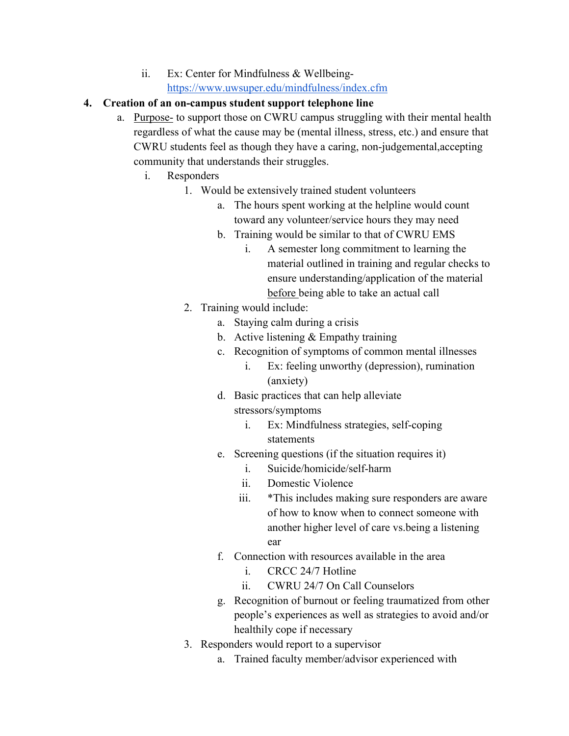ii. Ex: Center for Mindfulness & Wellbeing<https://www.uwsuper.edu/mindfulness/index.cfm>

#### **4. Creation of an on-campus student support telephone line**

- a. Purpose- to support those on CWRU campus struggling with their mental health regardless of what the cause may be (mental illness, stress, etc.) and ensure that CWRU students feel as though they have a caring, non-judgemental,accepting community that understands their struggles.
	- i. Responders
		- 1. Would be extensively trained student volunteers
			- a. The hours spent working at the helpline would count toward any volunteer/service hours they may need
			- b. Training would be similar to that of CWRU EMS
				- i. A semester long commitment to learning the material outlined in training and regular checks to ensure understanding/application of the material before being able to take an actual call
		- 2. Training would include:
			- a. Staying calm during a crisis
			- b. Active listening & Empathy training
			- c. Recognition of symptoms of common mental illnesses
				- i. Ex: feeling unworthy (depression), rumination (anxiety)
			- d. Basic practices that can help alleviate stressors/symptoms
				- i. Ex: Mindfulness strategies, self-coping statements
			- e. Screening questions (if the situation requires it)
				- i. Suicide/homicide/self-harm
				- ii. Domestic Violence
				- iii. \*This includes making sure responders are aware of how to know when to connect someone with another higher level of care vs.being a listening ear
			- f. Connection with resources available in the area
				- i. CRCC 24/7 Hotline
				- ii. CWRU 24/7 On Call Counselors
			- g. Recognition of burnout or feeling traumatized from other people's experiences as well as strategies to avoid and/or healthily cope if necessary
		- 3. Responders would report to a supervisor
			- a. Trained faculty member/advisor experienced with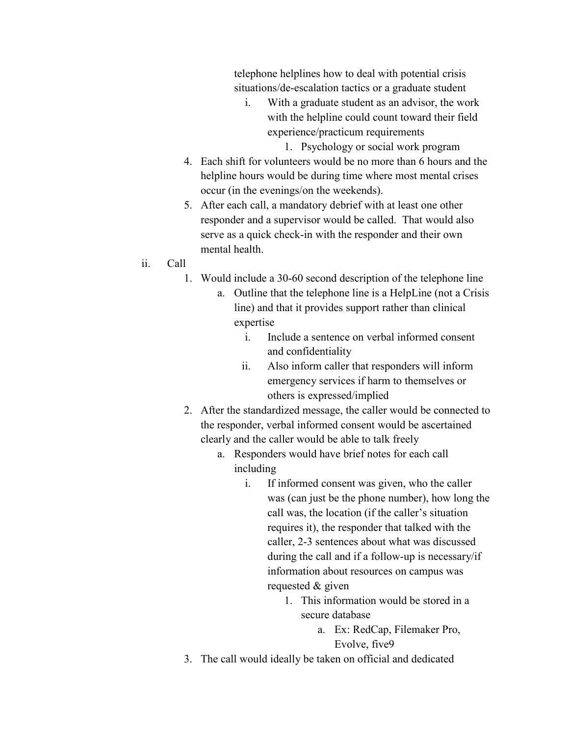telephone helplines how to deal with potential crisis situations/de-escalation tactics or a graduate student

- i. With a graduate student as an advisor, the work with the helpline could count toward their field experience/practicum requirements
	- 1. Psychology or social work program
- 4. Each shift for volunteers would be no more than 6 hours and the helpline hours would be during time where most mental crises occur (in the evenings/on the weekends).
- 5. After each call, a mandatory debrief with at least one other responder and a supervisor would be called. That would also serve as a quick check-in with the responder and their own mental health.

#### ii. Call

- 1. Would include a 30-60 second description of the telephone line
	- a. Outline that the telephone line is a HelpLine (not a Crisis line) and that it provides support rather than clinical expertise
		- i. Include a sentence on verbal informed consent and confidentiality
		- ii. Also inform caller that responders will inform emergency services if harm to themselves or others is expressed/implied
- 2. After the standardized message, the caller would be connected to the responder, verbal informed consent would be ascertained clearly and the caller would be able to talk freely
	- a. Responders would have brief notes for each call including
		- i. If informed consent was given, who the caller was (can just be the phone number), how long the call was, the location (if the caller's situation requires it), the responder that talked with the caller, 2-3 sentences about what was discussed during the call and if a follow-up is necessary/if information about resources on campus was requested & given
			- 1. This information would be stored in a secure database
				- a. Ex: RedCap, Filemaker Pro, Evolve, five9
- 3. The call would ideally be taken on official and dedicated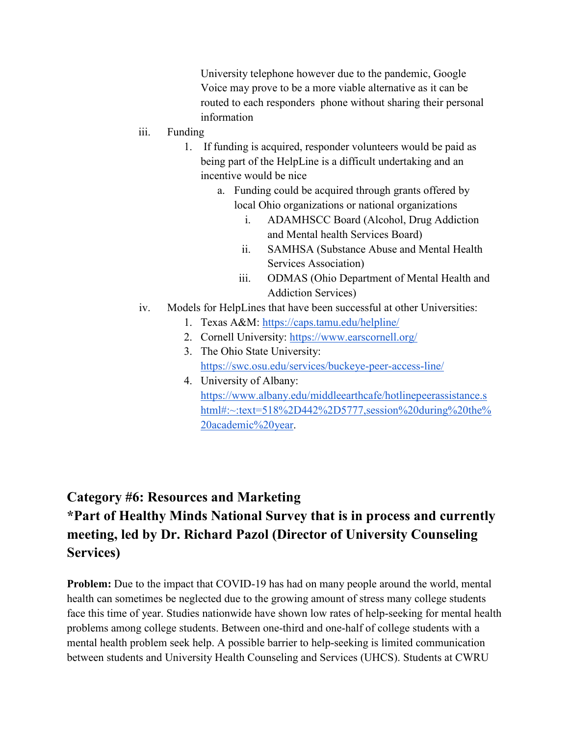University telephone however due to the pandemic, Google Voice may prove to be a more viable alternative as it can be routed to each responders phone without sharing their personal information

- iii. Funding
	- 1. If funding is acquired, responder volunteers would be paid as being part of the HelpLine is a difficult undertaking and an incentive would be nice
		- a. Funding could be acquired through grants offered by local Ohio organizations or national organizations
			- i. ADAMHSCC Board (Alcohol, Drug Addiction and Mental health Services Board)
			- ii. SAMHSA (Substance Abuse and Mental Health Services Association)
			- iii. ODMAS (Ohio Department of Mental Health and Addiction Services)
- iv. Models for HelpLines that have been successful at other Universities:
	- 1. Texas A&M:<https://caps.tamu.edu/helpline/>
	- 2. Cornell University:<https://www.earscornell.org/>
	- 3. The Ohio State University: <https://swc.osu.edu/services/buckeye-peer-access-line/>
	- 4. University of Albany: [https://www.albany.edu/middleearthcafe/hotlinepeerassistance.s](https://www.albany.edu/middleearthcafe/hotlinepeerassistance.shtml#:%7E:text=518%2D442%2D5777,session%20during%20the%20academic%20year) [html#:~:text=518%2D442%2D5777,session%20during%20the%](https://www.albany.edu/middleearthcafe/hotlinepeerassistance.shtml#:%7E:text=518%2D442%2D5777,session%20during%20the%20academic%20year) [20academic%20year.](https://www.albany.edu/middleearthcafe/hotlinepeerassistance.shtml#:%7E:text=518%2D442%2D5777,session%20during%20the%20academic%20year)

# **Category #6: Resources and Marketing \*Part of Healthy Minds National Survey that is in process and currently meeting, led by Dr. Richard Pazol (Director of University Counseling Services)**

**Problem:** Due to the impact that COVID-19 has had on many people around the world, mental health can sometimes be neglected due to the growing amount of stress many college students face this time of year. Studies nationwide have shown low rates of help-seeking for mental health problems among college students. Between one-third and one-half of college students with a mental health problem seek help. A possible barrier to help-seeking is limited communication between students and University Health Counseling and Services (UHCS). Students at CWRU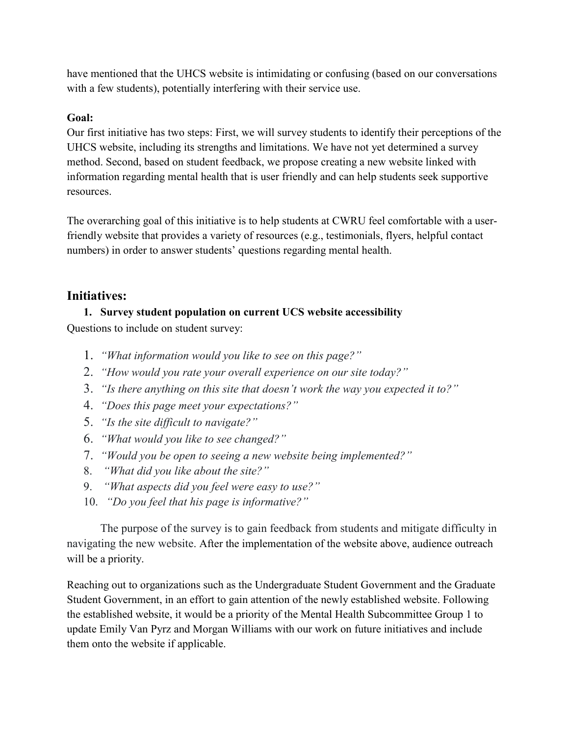have mentioned that the UHCS website is intimidating or confusing (based on our conversations with a few students), potentially interfering with their service use.

#### **Goal:**

Our first initiative has two steps: First, we will survey students to identify their perceptions of the UHCS website, including its strengths and limitations. We have not yet determined a survey method. Second, based on student feedback, we propose creating a new website linked with information regarding mental health that is user friendly and can help students seek supportive resources.

The overarching goal of this initiative is to help students at CWRU feel comfortable with a userfriendly website that provides a variety of resources (e.g., testimonials, flyers, helpful contact numbers) in order to answer students' questions regarding mental health.

#### **Initiatives:**

# **1. Survey student population on current UCS website accessibility**

Questions to include on student survey:

- 1. *"What information would you like to see on this page?"*
- 2. *"How would you rate your overall experience on our site today?"*
- 3. *"Is there anything on this site that doesn't work the way you expected it to?"*
- 4. *"Does this page meet your expectations?"*
- 5. *"Is the site difficult to navigate?"*
- 6. *"What would you like to see changed?"*
- 7. *"Would you be open to seeing a new website being implemented?"*
- 8. *"What did you like about the site?"*
- 9. *"What aspects did you feel were easy to use?"*
- 10. *"Do you feel that his page is informative?"*

The purpose of the survey is to gain feedback from students and mitigate difficulty in navigating the new website. After the implementation of the website above, audience outreach will be a priority.

Reaching out to organizations such as the Undergraduate Student Government and the Graduate Student Government, in an effort to gain attention of the newly established website. Following the established website, it would be a priority of the Mental Health Subcommittee Group 1 to update Emily Van Pyrz and Morgan Williams with our work on future initiatives and include them onto the website if applicable.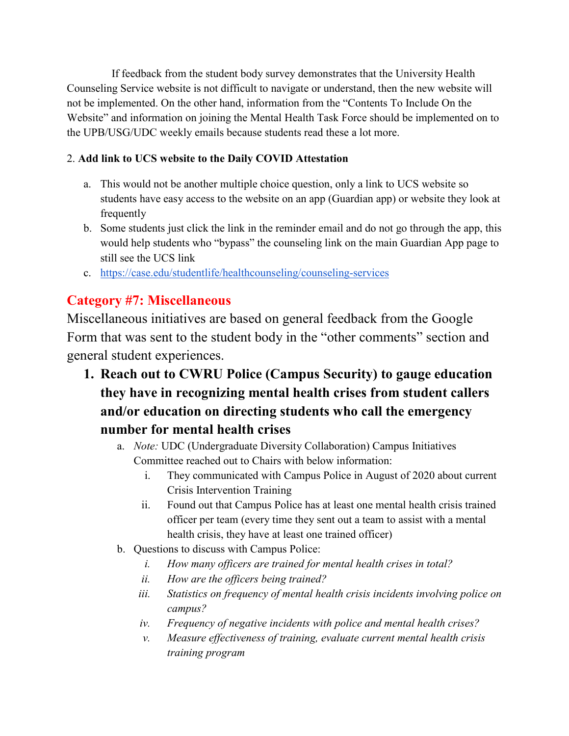If feedback from the student body survey demonstrates that the University Health Counseling Service website is not difficult to navigate or understand, then the new website will not be implemented. On the other hand, information from the "Contents To Include On the Website" and information on joining the Mental Health Task Force should be implemented on to the UPB/USG/UDC weekly emails because students read these a lot more.

#### 2. **Add link to UCS website to the Daily COVID Attestation**

- a. This would not be another multiple choice question, only a link to UCS website so students have easy access to the website on an app (Guardian app) or website they look at frequently
- b. Some students just click the link in the reminder email and do not go through the app, this would help students who "bypass" the counseling link on the main Guardian App page to still see the UCS link
- c. <https://case.edu/studentlife/healthcounseling/counseling-services>

## **Category #7: Miscellaneous**

Miscellaneous initiatives are based on general feedback from the Google Form that was sent to the student body in the "other comments" section and general student experiences.

- **1. Reach out to CWRU Police (Campus Security) to gauge education they have in recognizing mental health crises from student callers and/or education on directing students who call the emergency number for mental health crises**
	- a. *Note:* UDC (Undergraduate Diversity Collaboration) Campus Initiatives Committee reached out to Chairs with below information:
		- i. They communicated with Campus Police in August of 2020 about current Crisis Intervention Training
		- ii. Found out that Campus Police has at least one mental health crisis trained officer per team (every time they sent out a team to assist with a mental health crisis, they have at least one trained officer)
	- b. Questions to discuss with Campus Police:
		- *i. How many officers are trained for mental health crises in total?*
		- *ii. How are the officers being trained?*
		- *iii. Statistics on frequency of mental health crisis incidents involving police on campus?*
		- *iv. Frequency of negative incidents with police and mental health crises?*
		- *v. Measure effectiveness of training, evaluate current mental health crisis training program*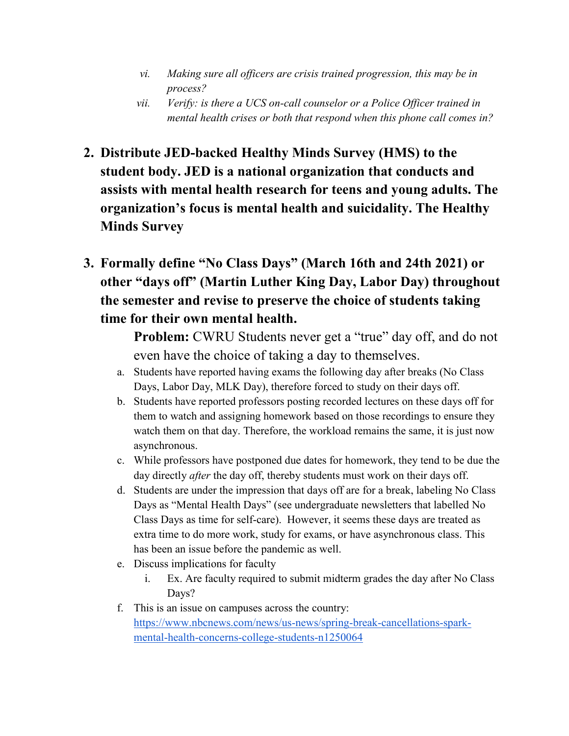- *vi. Making sure all officers are crisis trained progression, this may be in process?*
- *vii. Verify: is there a UCS on-call counselor or a Police Officer trained in mental health crises or both that respond when this phone call comes in?*
- **2. Distribute JED-backed Healthy Minds Survey (HMS) to the student body. JED is a national organization that conducts and assists with mental health research for teens and young adults. The organization's focus is mental health and suicidality. The Healthy Minds Survey**
- **3. Formally define "No Class Days" (March 16th and 24th 2021) or other "days off" (Martin Luther King Day, Labor Day) throughout the semester and revise to preserve the choice of students taking time for their own mental health.**

Problem: CWRU Students never get a "true" day off, and do not even have the choice of taking a day to themselves.

- a. Students have reported having exams the following day after breaks (No Class Days, Labor Day, MLK Day), therefore forced to study on their days off.
- b. Students have reported professors posting recorded lectures on these days off for them to watch and assigning homework based on those recordings to ensure they watch them on that day. Therefore, the workload remains the same, it is just now asynchronous.
- c. While professors have postponed due dates for homework, they tend to be due the day directly *after* the day off, thereby students must work on their days off.
- d. Students are under the impression that days off are for a break, labeling No Class Days as "Mental Health Days" (see undergraduate newsletters that labelled No Class Days as time for self-care). However, it seems these days are treated as extra time to do more work, study for exams, or have asynchronous class. This has been an issue before the pandemic as well.
- e. Discuss implications for faculty
	- i. Ex. Are faculty required to submit midterm grades the day after No Class Days?
- f. This is an issue on campuses across the country: [https://www.nbcnews.com/news/us-news/spring-break-cancellations-spark](https://www.nbcnews.com/news/us-news/spring-break-cancellations-spark-mental-health-concerns-college-students-n1250064)[mental-health-concerns-college-students-n1250064](https://www.nbcnews.com/news/us-news/spring-break-cancellations-spark-mental-health-concerns-college-students-n1250064)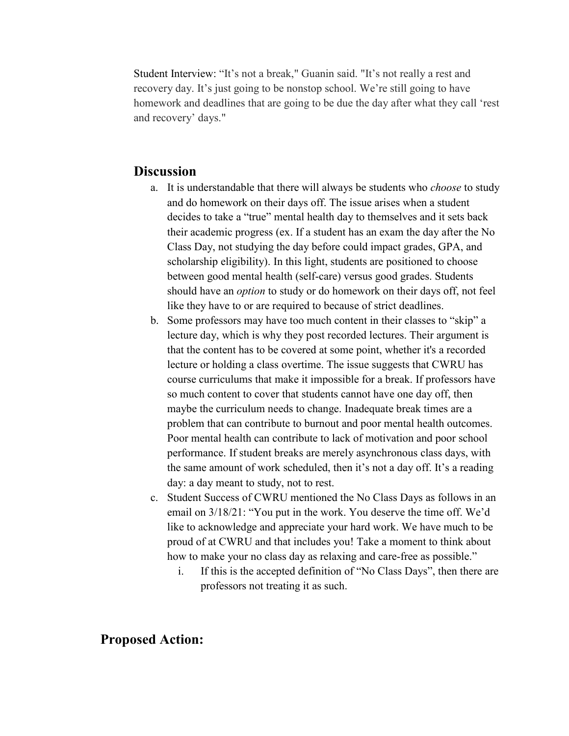Student Interview: "It's not a break," Guanin said. "It's not really a rest and recovery day. It's just going to be nonstop school. We're still going to have homework and deadlines that are going to be due the day after what they call 'rest and recovery' days."

#### **Discussion**

- a. It is understandable that there will always be students who *choose* to study and do homework on their days off. The issue arises when a student decides to take a "true" mental health day to themselves and it sets back their academic progress (ex. If a student has an exam the day after the No Class Day, not studying the day before could impact grades, GPA, and scholarship eligibility). In this light, students are positioned to choose between good mental health (self-care) versus good grades. Students should have an *option* to study or do homework on their days off, not feel like they have to or are required to because of strict deadlines.
- b. Some professors may have too much content in their classes to "skip" a lecture day, which is why they post recorded lectures. Their argument is that the content has to be covered at some point, whether it's a recorded lecture or holding a class overtime. The issue suggests that CWRU has course curriculums that make it impossible for a break. If professors have so much content to cover that students cannot have one day off, then maybe the curriculum needs to change. Inadequate break times are a problem that can contribute to burnout and poor mental health outcomes. Poor mental health can contribute to lack of motivation and poor school performance. If student breaks are merely asynchronous class days, with the same amount of work scheduled, then it's not a day off. It's a reading day: a day meant to study, not to rest.
- c. Student Success of CWRU mentioned the No Class Days as follows in an email on 3/18/21: "You put in the work. You deserve the time off. We'd like to acknowledge and appreciate your hard work. We have much to be proud of at CWRU and that includes you! Take a moment to think about how to make your no class day as relaxing and care-free as possible."
	- i. If this is the accepted definition of "No Class Days", then there are professors not treating it as such.

#### **Proposed Action:**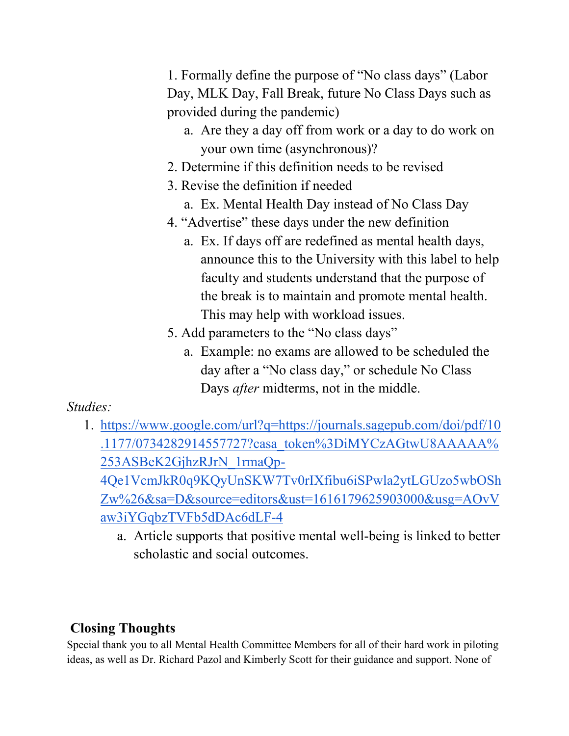1. Formally define the purpose of "No class days" (Labor Day, MLK Day, Fall Break, future No Class Days such as provided during the pandemic)

- a. Are they a day off from work or a day to do work on your own time (asynchronous)?
- 2. Determine if this definition needs to be revised
- 3. Revise the definition if needed
	- a. Ex. Mental Health Day instead of No Class Day
- 4. "Advertise" these days under the new definition
	- a. Ex. If days off are redefined as mental health days, announce this to the University with this label to help faculty and students understand that the purpose of the break is to maintain and promote mental health. This may help with workload issues.
- 5. Add parameters to the "No class days"
	- a. Example: no exams are allowed to be scheduled the day after a "No class day," or schedule No Class Days *after* midterms, not in the middle.

# *Studies:*

- 1. [https://www.google.com/url?q=https://journals.sagepub.com/doi/pdf/10](https://www.google.com/url?q=https://journals.sagepub.com/doi/pdf/10.1177/0734282914557727?casa_token%3DiMYCzAGtwU8AAAAA%253ASBeK2GjhzRJrN_1rmaQp-4Qe1VcmJkR0q9KQyUnSKW7Tv0rIXfibu6iSPwla2ytLGUzo5wbOShZw%26&sa=D&source=editors&ust=1616179625903000&usg=AOvVaw3iYGqbzTVFb5dDAc6dLF-4) [.1177/0734282914557727?casa\\_token%3DiMYCzAGtwU8AAAAA%](https://www.google.com/url?q=https://journals.sagepub.com/doi/pdf/10.1177/0734282914557727?casa_token%3DiMYCzAGtwU8AAAAA%253ASBeK2GjhzRJrN_1rmaQp-4Qe1VcmJkR0q9KQyUnSKW7Tv0rIXfibu6iSPwla2ytLGUzo5wbOShZw%26&sa=D&source=editors&ust=1616179625903000&usg=AOvVaw3iYGqbzTVFb5dDAc6dLF-4) [253ASBeK2GjhzRJrN\\_1rmaQp-](https://www.google.com/url?q=https://journals.sagepub.com/doi/pdf/10.1177/0734282914557727?casa_token%3DiMYCzAGtwU8AAAAA%253ASBeK2GjhzRJrN_1rmaQp-4Qe1VcmJkR0q9KQyUnSKW7Tv0rIXfibu6iSPwla2ytLGUzo5wbOShZw%26&sa=D&source=editors&ust=1616179625903000&usg=AOvVaw3iYGqbzTVFb5dDAc6dLF-4)[4Qe1VcmJkR0q9KQyUnSKW7Tv0rIXfibu6iSPwla2ytLGUzo5wbOSh](https://www.google.com/url?q=https://journals.sagepub.com/doi/pdf/10.1177/0734282914557727?casa_token%3DiMYCzAGtwU8AAAAA%253ASBeK2GjhzRJrN_1rmaQp-4Qe1VcmJkR0q9KQyUnSKW7Tv0rIXfibu6iSPwla2ytLGUzo5wbOShZw%26&sa=D&source=editors&ust=1616179625903000&usg=AOvVaw3iYGqbzTVFb5dDAc6dLF-4) [Zw%26&sa=D&source=editors&ust=1616179625903000&usg=AOvV](https://www.google.com/url?q=https://journals.sagepub.com/doi/pdf/10.1177/0734282914557727?casa_token%3DiMYCzAGtwU8AAAAA%253ASBeK2GjhzRJrN_1rmaQp-4Qe1VcmJkR0q9KQyUnSKW7Tv0rIXfibu6iSPwla2ytLGUzo5wbOShZw%26&sa=D&source=editors&ust=1616179625903000&usg=AOvVaw3iYGqbzTVFb5dDAc6dLF-4) [aw3iYGqbzTVFb5dDAc6dLF-4](https://www.google.com/url?q=https://journals.sagepub.com/doi/pdf/10.1177/0734282914557727?casa_token%3DiMYCzAGtwU8AAAAA%253ASBeK2GjhzRJrN_1rmaQp-4Qe1VcmJkR0q9KQyUnSKW7Tv0rIXfibu6iSPwla2ytLGUzo5wbOShZw%26&sa=D&source=editors&ust=1616179625903000&usg=AOvVaw3iYGqbzTVFb5dDAc6dLF-4)
	- a. Article supports that positive mental well-being is linked to better scholastic and social outcomes.

# **Closing Thoughts**

Special thank you to all Mental Health Committee Members for all of their hard work in piloting ideas, as well as Dr. Richard Pazol and Kimberly Scott for their guidance and support. None of